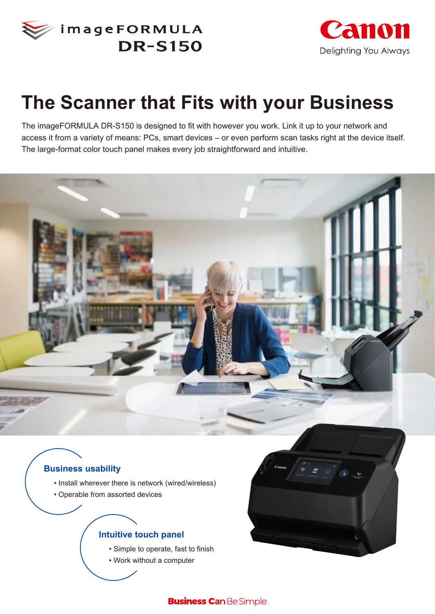

**WimageFORMULA DR-S150** 



# **The Scanner that Fits with your Business**

The imageFORMULA DR-S150 is designed to fit with however you work. Link it up to your network and access it from a variety of means: PCs, smart devices – or even perform scan tasks right at the device itself. The large-format color touch panel makes every job straightforward and intuitive.



## **Business usability**

- Install wherever there is network (wired/wireless)
- Operable from assorted devices

## **Intuitive touch panel**

- Simple to operate, fast to finish
- Work without a computer



## **Business Can Be Simple**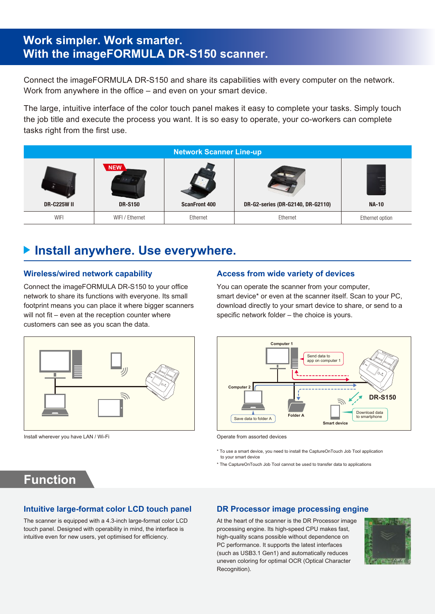## **Work simpler. Work smarter. With the imageFORMULA DR-S150 scanner.**

Connect the imageFORMULA DR-S150 and share its capabilities with every computer on the network. Work from anywhere in the office – and even on your smart device.

The large, intuitive interface of the color touch panel makes it easy to complete your tasks. Simply touch the job title and execute the process you want. It is so easy to operate, your co-workers can complete tasks right from the first use.

| <b>Network Scanner Line-up</b> |                 |                      |                                   |                 |  |
|--------------------------------|-----------------|----------------------|-----------------------------------|-----------------|--|
|                                | <b>NEW</b>      |                      |                                   | $\sim$          |  |
| <b>DR-C225W II</b>             | <b>DR-S150</b>  | <b>ScanFront 400</b> | DR-G2-series (DR-G2140, DR-G2110) | <b>NA-10</b>    |  |
| WIFI                           | WIFI / Ethernet | Ethernet             | Ethernet                          | Ethernet option |  |

## **Install anywhere. Use everywhere.**

## **Wireless/wired network capability**

Connect the imageFORMULA DR-S150 to your office network to share its functions with everyone. Its small footprint means you can place it where bigger scanners will not fit – even at the reception counter where customers can see as you scan the data.



Install wherever you have LAN / Wi-Fi

## **Access from wide variety of devices**

You can operate the scanner from your computer, smart device\* or even at the scanner itself. Scan to your PC, download directly to your smart device to share, or send to a specific network folder – the choice is yours.



Operate from assorted devices

\* To use a smart device, you need to install the CaptureOnTouch Job Tool application to your smart device

\* The CaptureOnTouch Job Tool cannot be used to transfer data to applications

## **Function**

### **Intuitive large-format color LCD touch panel**

The scanner is equipped with a 4.3-inch large-format color LCD touch panel. Designed with operability in mind, the interface is intuitive even for new users, yet optimised for efficiency.

## **DR Processor image processing engine**

At the heart of the scanner is the DR Processor image processing engine. Its high-speed CPU makes fast, high-quality scans possible without dependence on PC performance. It supports the latest interfaces (such as USB3.1 Gen1) and automatically reduces uneven coloring for optimal OCR (Optical Character Recognition).

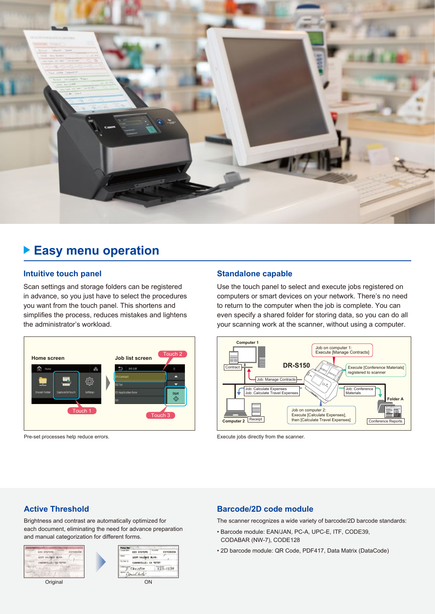

## **Easy menu operation**

## **Intuitive touch panel**

Scan settings and storage folders can be registered in advance, so you just have to select the procedures you want from the touch panel. This shortens and simplifies the process, reduces mistakes and lightens the administrator's workload.



## **Standalone capable**

Use the touch panel to select and execute jobs registered on computers or smart devices on your network. There's no need to return to the computer when the job is complete. You can even specify a shared folder for storing data, so you can do all your scanning work at the scanner, without using a computer.



Pre-set processes help reduce errors. Execute jobs directly from the scanner.

## **Active Threshold**

Brightness and contrast are automatically optimized for each document, eliminating the need for advance preparation and manual categorization for different forms.



### **Barcode/2D code module**

The scanner recognizes a wide variety of barcode/2D barcode standards:

- Barcode module: EAN/JAN, PC-A, UPC-E, ITF, CODE39, CODABAR (NW-7), CODE128
- 2D barcode module: QR Code, PDF417, Data Matrix (DataCode)